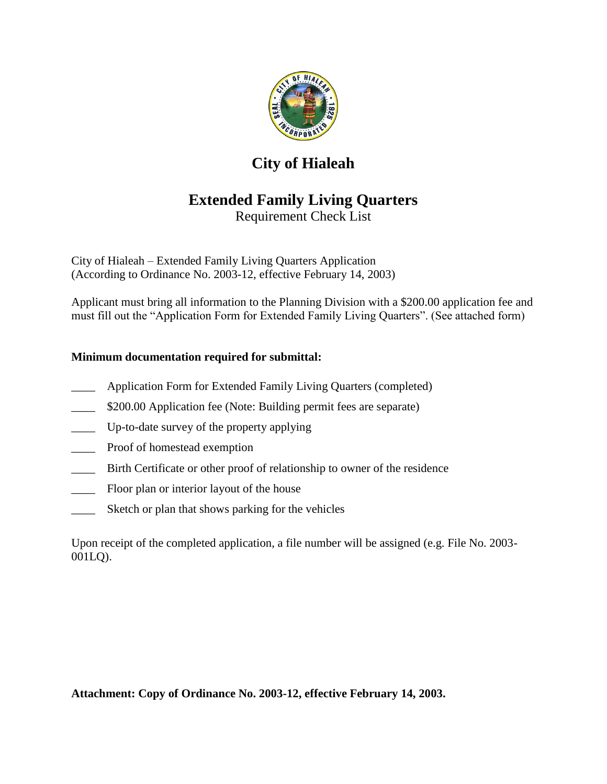

# **City of Hialeah**

# **Extended Family Living Quarters**

Requirement Check List

City of Hialeah – Extended Family Living Quarters Application (According to Ordinance No. 2003-12, effective February 14, 2003)

Applicant must bring all information to the Planning Division with a \$200.00 application fee and must fill out the "Application Form for Extended Family Living Quarters". (See attached form)

# **Minimum documentation required for submittal:**

- Application Form for Extended Family Living Quarters (completed)
- \$200.00 Application fee (Note: Building permit fees are separate)
- Up-to-date survey of the property applying
- Proof of homestead exemption
- \_\_\_\_ Birth Certificate or other proof of relationship to owner of the residence
- \_\_\_\_ Floor plan or interior layout of the house
- Sketch or plan that shows parking for the vehicles

Upon receipt of the completed application, a file number will be assigned (e.g. File No. 2003- 001LQ).

**Attachment: Copy of Ordinance No. 2003-12, effective February 14, 2003.**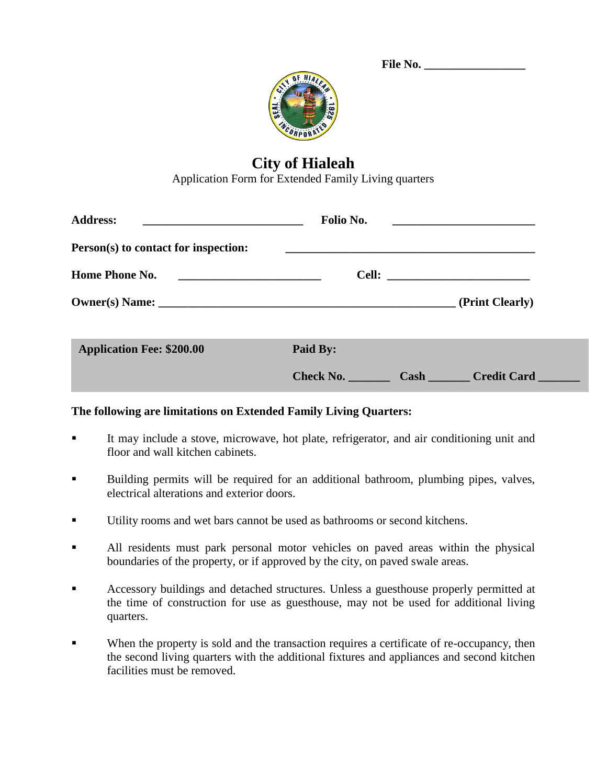| <b>File No.</b> |  |
|-----------------|--|
|                 |  |



# **City of Hialeah**

Application Form for Extended Family Living quarters

| <b>Address:</b>                                                           | Folio No.                     |  |
|---------------------------------------------------------------------------|-------------------------------|--|
| Person(s) to contact for inspection:                                      |                               |  |
| Home Phone No.<br><u> 1980 - Johann Barnett, fransk politik (f. 1980)</u> |                               |  |
|                                                                           | (Print Clearly)               |  |
| <b>Application Fee: \$200.00</b>                                          | Paid By:                      |  |
|                                                                           | Check No.<br>Cash Credit Card |  |

## **The following are limitations on Extended Family Living Quarters:**

- It may include a stove, microwave, hot plate, refrigerator, and air conditioning unit and floor and wall kitchen cabinets.
- Building permits will be required for an additional bathroom, plumbing pipes, valves, electrical alterations and exterior doors.
- Utility rooms and wet bars cannot be used as bathrooms or second kitchens.
- All residents must park personal motor vehicles on paved areas within the physical boundaries of the property, or if approved by the city, on paved swale areas.
- Accessory buildings and detached structures. Unless a guesthouse properly permitted at the time of construction for use as guesthouse, may not be used for additional living quarters.
- When the property is sold and the transaction requires a certificate of re-occupancy, then the second living quarters with the additional fixtures and appliances and second kitchen facilities must be removed.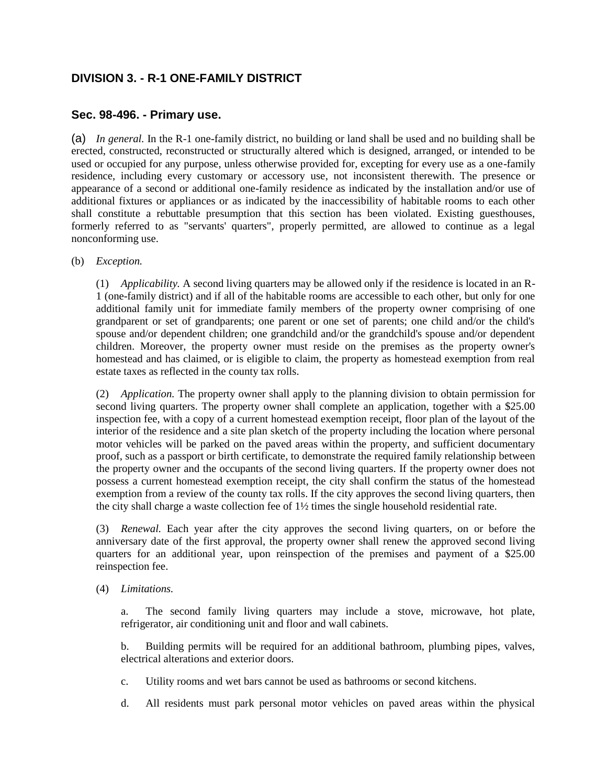# **DIVISION 3. - R-1 ONE-FAMILY DISTRICT**

## **Sec. 98-496. - Primary use.**

(a) *In general.* In the R-1 one-family district, no building or land shall be used and no building shall be erected, constructed, reconstructed or structurally altered which is designed, arranged, or intended to be used or occupied for any purpose, unless otherwise provided for, excepting for every use as a one-family residence, including every customary or accessory use, not inconsistent therewith. The presence or appearance of a second or additional one-family residence as indicated by the installation and/or use of additional fixtures or appliances or as indicated by the inaccessibility of habitable rooms to each other shall constitute a rebuttable presumption that this section has been violated. Existing guesthouses, formerly referred to as "servants' quarters", properly permitted, are allowed to continue as a legal nonconforming use.

### (b) *Exception.*

(1) *Applicability.* A second living quarters may be allowed only if the residence is located in an R-1 (one-family district) and if all of the habitable rooms are accessible to each other, but only for one additional family unit for immediate family members of the property owner comprising of one grandparent or set of grandparents; one parent or one set of parents; one child and/or the child's spouse and/or dependent children; one grandchild and/or the grandchild's spouse and/or dependent children. Moreover, the property owner must reside on the premises as the property owner's homestead and has claimed, or is eligible to claim, the property as homestead exemption from real estate taxes as reflected in the county tax rolls.

(2) *Application.* The property owner shall apply to the planning division to obtain permission for second living quarters. The property owner shall complete an application, together with a \$25.00 inspection fee, with a copy of a current homestead exemption receipt, floor plan of the layout of the interior of the residence and a site plan sketch of the property including the location where personal motor vehicles will be parked on the paved areas within the property, and sufficient documentary proof, such as a passport or birth certificate, to demonstrate the required family relationship between the property owner and the occupants of the second living quarters. If the property owner does not possess a current homestead exemption receipt, the city shall confirm the status of the homestead exemption from a review of the county tax rolls. If the city approves the second living quarters, then the city shall charge a waste collection fee of 1½ times the single household residential rate.

(3) *Renewal.* Each year after the city approves the second living quarters, on or before the anniversary date of the first approval, the property owner shall renew the approved second living quarters for an additional year, upon reinspection of the premises and payment of a \$25.00 reinspection fee.

(4) *Limitations.*

a. The second family living quarters may include a stove, microwave, hot plate, refrigerator, air conditioning unit and floor and wall cabinets.

b. Building permits will be required for an additional bathroom, plumbing pipes, valves, electrical alterations and exterior doors.

- c. Utility rooms and wet bars cannot be used as bathrooms or second kitchens.
- d. All residents must park personal motor vehicles on paved areas within the physical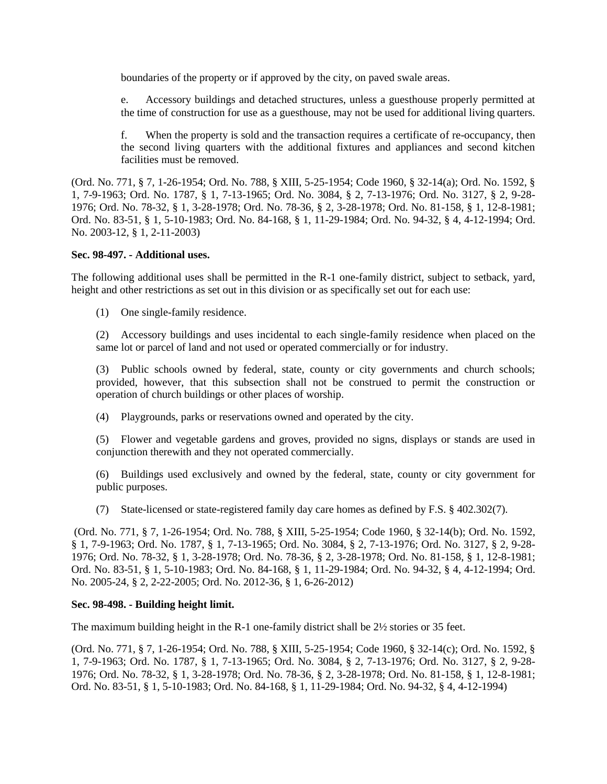boundaries of the property or if approved by the city, on paved swale areas.

e. Accessory buildings and detached structures, unless a guesthouse properly permitted at the time of construction for use as a guesthouse, may not be used for additional living quarters.

f. When the property is sold and the transaction requires a certificate of re-occupancy, then the second living quarters with the additional fixtures and appliances and second kitchen facilities must be removed.

(Ord. No. 771, § 7, 1-26-1954; Ord. No. 788, § XIII, 5-25-1954; Code 1960, § 32-14(a); Ord. No. 1592, § 1, 7-9-1963; Ord. No. 1787, § 1, 7-13-1965; Ord. No. 3084, § 2, 7-13-1976; Ord. No. 3127, § 2, 9-28- 1976; Ord. No. 78-32, § 1, 3-28-1978; Ord. No. 78-36, § 2, 3-28-1978; Ord. No. 81-158, § 1, 12-8-1981; Ord. No. 83-51, § 1, 5-10-1983; Ord. No. 84-168, § 1, 11-29-1984; Ord. No. 94-32, § 4, 4-12-1994; Ord. No. 2003-12, § 1, 2-11-2003)

#### **Sec. 98-497. - Additional uses.**

The following additional uses shall be permitted in the R-1 one-family district, subject to setback, yard, height and other restrictions as set out in this division or as specifically set out for each use:

(1) One single-family residence.

(2) Accessory buildings and uses incidental to each single-family residence when placed on the same lot or parcel of land and not used or operated commercially or for industry.

(3) Public schools owned by federal, state, county or city governments and church schools; provided, however, that this subsection shall not be construed to permit the construction or operation of church buildings or other places of worship.

(4) Playgrounds, parks or reservations owned and operated by the city.

(5) Flower and vegetable gardens and groves, provided no signs, displays or stands are used in conjunction therewith and they not operated commercially.

(6) Buildings used exclusively and owned by the federal, state, county or city government for public purposes.

(7) State-licensed or state-registered family day care homes as defined by F.S. § 402.302(7).

(Ord. No. 771, § 7, 1-26-1954; Ord. No. 788, § XIII, 5-25-1954; Code 1960, § 32-14(b); Ord. No. 1592, § 1, 7-9-1963; Ord. No. 1787, § 1, 7-13-1965; Ord. No. 3084, § 2, 7-13-1976; Ord. No. 3127, § 2, 9-28- 1976; Ord. No. 78-32, § 1, 3-28-1978; Ord. No. 78-36, § 2, 3-28-1978; Ord. No. 81-158, § 1, 12-8-1981; Ord. No. 83-51, § 1, 5-10-1983; Ord. No. 84-168, § 1, 11-29-1984; Ord. No. 94-32, § 4, 4-12-1994; Ord. No. 2005-24, § 2, 2-22-2005; Ord. No. 2012-36, § 1, 6-26-2012)

## **Sec. 98-498. - Building height limit.**

The maximum building height in the R-1 one-family district shall be 2½ stories or 35 feet.

(Ord. No. 771, § 7, 1-26-1954; Ord. No. 788, § XIII, 5-25-1954; Code 1960, § 32-14(c); Ord. No. 1592, § 1, 7-9-1963; Ord. No. 1787, § 1, 7-13-1965; Ord. No. 3084, § 2, 7-13-1976; Ord. No. 3127, § 2, 9-28- 1976; Ord. No. 78-32, § 1, 3-28-1978; Ord. No. 78-36, § 2, 3-28-1978; Ord. No. 81-158, § 1, 12-8-1981; Ord. No. 83-51, § 1, 5-10-1983; Ord. No. 84-168, § 1, 11-29-1984; Ord. No. 94-32, § 4, 4-12-1994)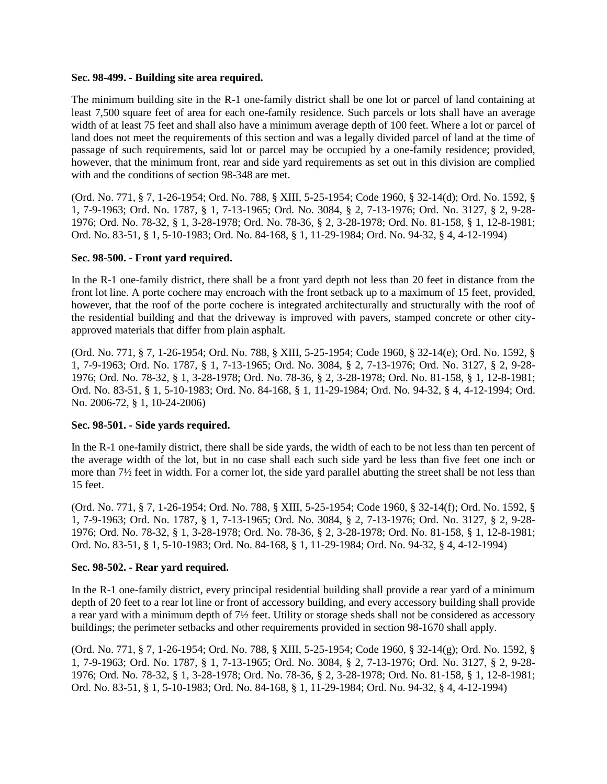#### **Sec. 98-499. - Building site area required.**

The minimum building site in the R-1 one-family district shall be one lot or parcel of land containing at least 7,500 square feet of area for each one-family residence. Such parcels or lots shall have an average width of at least 75 feet and shall also have a minimum average depth of 100 feet. Where a lot or parcel of land does not meet the requirements of this section and was a legally divided parcel of land at the time of passage of such requirements, said lot or parcel may be occupied by a one-family residence; provided, however, that the minimum front, rear and side yard requirements as set out in this division are complied with and the conditions of section 98-348 are met.

(Ord. No. 771, § 7, 1-26-1954; Ord. No. 788, § XIII, 5-25-1954; Code 1960, § 32-14(d); Ord. No. 1592, § 1, 7-9-1963; Ord. No. 1787, § 1, 7-13-1965; Ord. No. 3084, § 2, 7-13-1976; Ord. No. 3127, § 2, 9-28- 1976; Ord. No. 78-32, § 1, 3-28-1978; Ord. No. 78-36, § 2, 3-28-1978; Ord. No. 81-158, § 1, 12-8-1981; Ord. No. 83-51, § 1, 5-10-1983; Ord. No. 84-168, § 1, 11-29-1984; Ord. No. 94-32, § 4, 4-12-1994)

## **Sec. 98-500. - Front yard required.**

In the R-1 one-family district, there shall be a front yard depth not less than 20 feet in distance from the front lot line. A porte cochere may encroach with the front setback up to a maximum of 15 feet, provided, however, that the roof of the porte cochere is integrated architecturally and structurally with the roof of the residential building and that the driveway is improved with pavers, stamped concrete or other cityapproved materials that differ from plain asphalt.

(Ord. No. 771, § 7, 1-26-1954; Ord. No. 788, § XIII, 5-25-1954; Code 1960, § 32-14(e); Ord. No. 1592, § 1, 7-9-1963; Ord. No. 1787, § 1, 7-13-1965; Ord. No. 3084, § 2, 7-13-1976; Ord. No. 3127, § 2, 9-28- 1976; Ord. No. 78-32, § 1, 3-28-1978; Ord. No. 78-36, § 2, 3-28-1978; Ord. No. 81-158, § 1, 12-8-1981; Ord. No. 83-51, § 1, 5-10-1983; Ord. No. 84-168, § 1, 11-29-1984; Ord. No. 94-32, § 4, 4-12-1994; Ord. No. 2006-72, § 1, 10-24-2006)

## **Sec. 98-501. - Side yards required.**

In the R-1 one-family district, there shall be side yards, the width of each to be not less than ten percent of the average width of the lot, but in no case shall each such side yard be less than five feet one inch or more than 7½ feet in width. For a corner lot, the side yard parallel abutting the street shall be not less than 15 feet.

(Ord. No. 771, § 7, 1-26-1954; Ord. No. 788, § XIII, 5-25-1954; Code 1960, § 32-14(f); Ord. No. 1592, § 1, 7-9-1963; Ord. No. 1787, § 1, 7-13-1965; Ord. No. 3084, § 2, 7-13-1976; Ord. No. 3127, § 2, 9-28- 1976; Ord. No. 78-32, § 1, 3-28-1978; Ord. No. 78-36, § 2, 3-28-1978; Ord. No. 81-158, § 1, 12-8-1981; Ord. No. 83-51, § 1, 5-10-1983; Ord. No. 84-168, § 1, 11-29-1984; Ord. No. 94-32, § 4, 4-12-1994)

#### **Sec. 98-502. - Rear yard required.**

In the R-1 one-family district, every principal residential building shall provide a rear yard of a minimum depth of 20 feet to a rear lot line or front of accessory building, and every accessory building shall provide a rear yard with a minimum depth of 7½ feet. Utility or storage sheds shall not be considered as accessory buildings; the perimeter setbacks and other requirements provided in section 98-1670 shall apply.

(Ord. No. 771, § 7, 1-26-1954; Ord. No. 788, § XIII, 5-25-1954; Code 1960, § 32-14(g); Ord. No. 1592, § 1, 7-9-1963; Ord. No. 1787, § 1, 7-13-1965; Ord. No. 3084, § 2, 7-13-1976; Ord. No. 3127, § 2, 9-28- 1976; Ord. No. 78-32, § 1, 3-28-1978; Ord. No. 78-36, § 2, 3-28-1978; Ord. No. 81-158, § 1, 12-8-1981; Ord. No. 83-51, § 1, 5-10-1983; Ord. No. 84-168, § 1, 11-29-1984; Ord. No. 94-32, § 4, 4-12-1994)